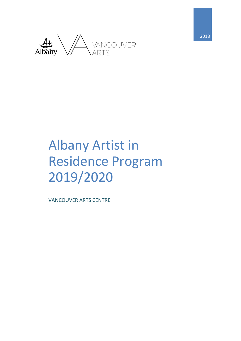

# Albany Artist in Residence Program 2019/2020

VANCOUVER ARTS CENTRE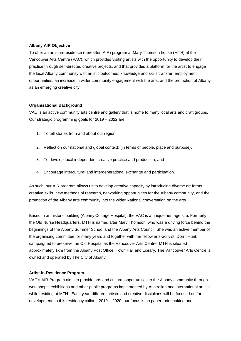#### **Albany AIR Objective**

To offer an artist-in-residence (hereafter, AIR) program at Mary Thomson house (MTH) at the Vancouver Arts Centre (VAC), which provides visiting artists with the opportunity to develop their practice through self-directed creative projects, and that provides a platform for the artist to engage the local Albany community with artistic outcomes, knowledge and skills transfer, employment opportunities, an increase in wider community engagement with the arts, and the promotion of Albany as an emerging creative city.

#### **Organisational Background**

VAC is an active community arts centre and gallery that is home to many local arts and craft groups. Our strategic programming goals for 2019 – 2022 are

- 1. To tell stories from and about our region;
- 2. Reflect on our national and global context; (in terms of people, place and purpose),
- 3. To develop local independent creative practice and production; and
- 4. Encourage intercultural and intergenerational exchange and participation.

As such, our AIR program allows us to develop creative capacity by introducing diverse art forms, creative skills, new methods of research, networking opportunities for the Albany community, and the promotion of the Albany arts community into the wider National conversation on the arts.

Based in an historic building (Albany Cottage Hospital), the VAC is a unique heritage site. Formerly the Old Nurse Headquarters, MTH is named after Mary Thomson, who was a driving force behind the beginnings of the Albany Summer School and the Albany Arts Council. She was an active member of the organising committee for many years and together with her fellow arts-activist, Dorrit Hunt, campaigned to preserve the Old Hospital as the Vancouver Arts Centre. MTH is situated approximately 1km from the Albany Post Office, Town Hall and Library. The Vancouver Arts Centre is owned and operated by The City of Albany.

#### **Artist-in-Residence Program**

VAC's AIR Program aims to provide arts and cultural opportunities to the Albany community through workshops, exhibitions and other public programs implemented by Australian and international artists while residing at MTH. Each year, different artistic and creative disciplines will be focused on for development. In this residency callout, 2019 – 2020, our focus is on paper, printmaking and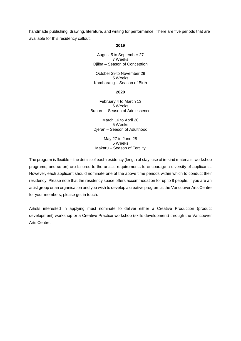handmade publishing, drawing, literature, and writing for performance. There are five periods that are available for this residency callout.

#### **2019**

August 5 to September 27 7 Weeks Djilba – Season of Conception

October 29 to November 29 5 Weeks Kambarang – Season of Birth

#### **2020**

February 4 to March 13 6 Weeks Bunuru – Season of Adolescence

March 16 to April 20 5 Weeks Djeran – Season of Adulthood

May 27 to June 28 5 Weeks Makaru – Season of Fertility

The program is flexible – the details of each residency (length of stay, use of in-kind materials, workshop programs, and so on) are tailored to the artist's requirements to encourage a diversity of applicants. However, each applicant should nominate one of the above time periods within which to conduct their residency. Please note that the residency space offers accommodation for up to 8 people. If you are an artist group or an organisation and you wish to develop a creative program at the Vancouver Arts Centre for your members, please get in touch.

Artists interested in applying must nominate to deliver either a Creative Production (product development) workshop or a Creative Practice workshop (skills development) through the Vancouver Arts Centre.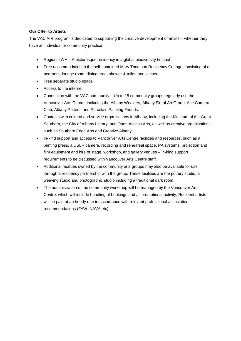## **Our Offer to Artists**

The VAC AIR program is dedicated to supporting the creative development of artists – whether they have an individual or community practice

- Regional WA A picturesque residency in a global biodiversity hotspot
- Free accommodation in the self-contained Mary Thomson Residency Cottage consisting of a bedroom, lounge room, dining area, shower & toilet, and kitchen
- Free separate studio space
- Access to the internet
- Connection with the VAC community Up to 15 community groups regularly use the Vancouver Arts Centre, including the Albany Weavers, Albany Floral Art Group, Ace Camera Club, Albany Potters, and Porcelain Painting Friends.
- Contacts with cultural and service organisations in Albany, including the Museum of the Great Southern, the City of Albany Library, and Open Access Arts, as well as creative organisations such as Southern Edge Arts and Creative Albany.
- In-kind support and access to Vancouver Arts Centre facilities and resources, such as a printing press, a DSLR camera, recording and rehearsal space, PA systems, projection and film equipment and hire of stage, workshop, and gallery venues – in-kind support requirements to be discussed with Vancouver Arts Centre staff.
- Additional facilities owned by the community arts groups may also be available for use through a residency partnership with the group. These facilities are the pottery studio, a weaving studio and photographic studio including a traditional dark room.
- The administration of the community workshop will be managed by the Vancouver Arts Centre, which will include handling of bookings and all promotional activity, Resident artists will be paid at an hourly rate in accordance with relevant professional association recommendations (FAW, NAVA etc)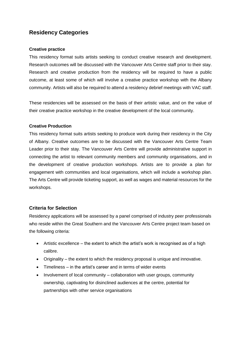# **Residency Categories**

## **Creative practice**

This residency format suits artists seeking to conduct creative research and development. Research outcomes will be discussed with the Vancouver Arts Centre staff prior to their stay. Research and creative production from the residency will be required to have a public outcome, at least some of which will involve a creative practice workshop with the Albany community. Artists will also be required to attend a residency debrief meetings with VAC staff.

These residencies will be assessed on the basis of their artistic value, and on the value of their creative practice workshop in the creative development of the local community.

#### **Creative Production**

This residency format suits artists seeking to produce work during their residency in the City of Albany. Creative outcomes are to be discussed with the Vancouver Arts Centre Team Leader prior to their stay. The Vancouver Arts Centre will provide administrative support in connecting the artist to relevant community members and community organisations, and in the development of creative production workshops. Artists are to provide a plan for engagement with communities and local organisations, which will include a workshop plan. The Arts Centre will provide ticketing support, as well as wages and material resources for the workshops.

## **Criteria for Selection**

Residency applications will be assessed by a panel comprised of industry peer professionals who reside within the Great Southern and the Vancouver Arts Centre project team based on the following criteria:

- Artistic excellence the extent to which the artist's work is recognised as of a high calibre.
- Originality the extent to which the residency proposal is unique and innovative.
- Timeliness in the artist's career and in terms of wider events
- Involvement of local community collaboration with user groups, community ownership, captivating for disinclined audiences at the centre, potential for partnerships with other service organisations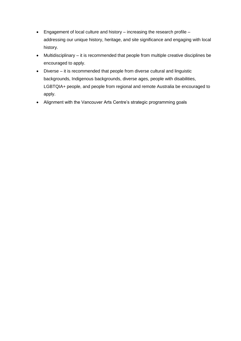- Engagement of local culture and history increasing the research profile addressing our unique history, heritage, and site significance and engaging with local history.
- Multidisciplinary it is recommended that people from multiple creative disciplines be encouraged to apply.
- Diverse it is recommended that people from diverse cultural and linguistic backgrounds, Indigenous backgrounds, diverse ages, people with disabilities, LGBTQIA+ people, and people from regional and remote Australia be encouraged to apply.
- Alignment with the Vancouver Arts Centre's strategic programming goals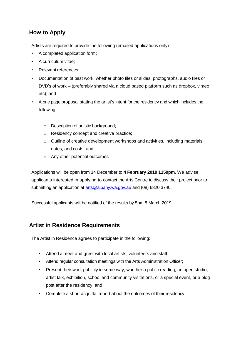# **How to Apply**

Artists are required to provide the following (emailed applications only):

- A completed application form;
- A curriculum vitae;
- Relevant references;
- Documentation of past work, whether photo files or slides, photographs, audio files or DVD's of work – (preferably shared via a cloud based platform such as dropbox, vimeo etc); and
- A one page proposal stating the artist's intent for the residency and which includes the following:
	- o Description of artistic background;
	- o Residency concept and creative practice;
	- o Outline of creative development workshops and activities, including materials, dates, and costs; and
	- o Any other potential outcomes

Applications will be open from 14 December to **4 February 2019 1159pm**. We advise applicants interested in applying to contact the Arts Centre to discuss their project prior to submitting an application at [arts@albany.wa.gov.au](mailto:arts@albany.wa.gov.au) and (08) 6820 3740.

Successful applicants will be notified of the results by 5pm 8 March 2019.

# **Artist in Residence Requirements**

The Artist in Residence agrees to participate in the following:

- Attend a meet-and-greet with local artists, volunteers and staff;
- Attend regular consultation meetings with the Arts Administration Officer;
- Present their work publicly in some way, whether a public reading, an open studio, artist talk, exhibition, school and community visitations, or a special event, or a blog post after the residency; and
- Complete a short acquittal report about the outcomes of their residency.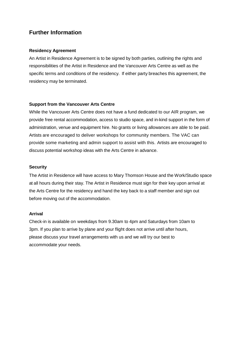# **Further Information**

### **Residency Agreement**

An Artist in Residence Agreement is to be signed by both parties, outlining the rights and responsibilities of the Artist in Residence and the Vancouver Arts Centre as well as the specific terms and conditions of the residency. If either party breaches this agreement, the residency may be terminated.

## **Support from the Vancouver Arts Centre**

While the Vancouver Arts Centre does not have a fund dedicated to our AIR program, we provide free rental accommodation, access to studio space, and in-kind support in the form of administration, venue and equipment hire. No grants or living allowances are able to be paid. Artists are encouraged to deliver workshops for community members. The VAC can provide some marketing and admin support to assist with this. Artists are encouraged to discuss potential workshop ideas with the Arts Centre in advance.

#### **Security**

The Artist in Residence will have access to Mary Thomson House and the Work/Studio space at all hours during their stay. The Artist in Residence must sign for their key upon arrival at the Arts Centre for the residency and hand the key back to a staff member and sign out before moving out of the accommodation.

#### **Arrival**

Check-in is available on weekdays from 9.30am to 4pm and Saturdays from 10am to 3pm. If you plan to arrive by plane and your flight does not arrive until after hours, please discuss your travel arrangements with us and we will try our best to accommodate your needs.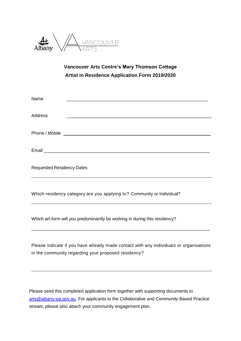

**Vancouver Arts Centre's Mary Thomson Cottage Artist in Residence Application Form 2019/2020**

| Name                             |  |  |  |
|----------------------------------|--|--|--|
| <b>Address</b>                   |  |  |  |
|                                  |  |  |  |
|                                  |  |  |  |
| <b>Requested Residency Dates</b> |  |  |  |

Which residency category are you applying to? Community or Individual?

Which art-form will you predominantly be working in during this residency?

Please indicate if you have already made contact with any individuals or organisations in the community regarding your proposed residency?

\_\_\_\_\_\_\_\_\_\_\_\_\_\_\_\_\_\_\_\_\_\_\_\_\_\_\_\_\_\_\_\_\_\_\_\_\_\_\_\_\_\_\_\_\_\_\_\_\_\_\_\_\_\_\_\_\_\_\_\_\_\_\_\_\_\_\_\_\_\_\_\_

Please send this completed application form together with supporting documents to [arts@albany.wa.gov.au.](mailto:arts@albany.wa.gov.au) For applicants to the Collaborative and Community Based Practice stream, please also attach your community engagement plan.